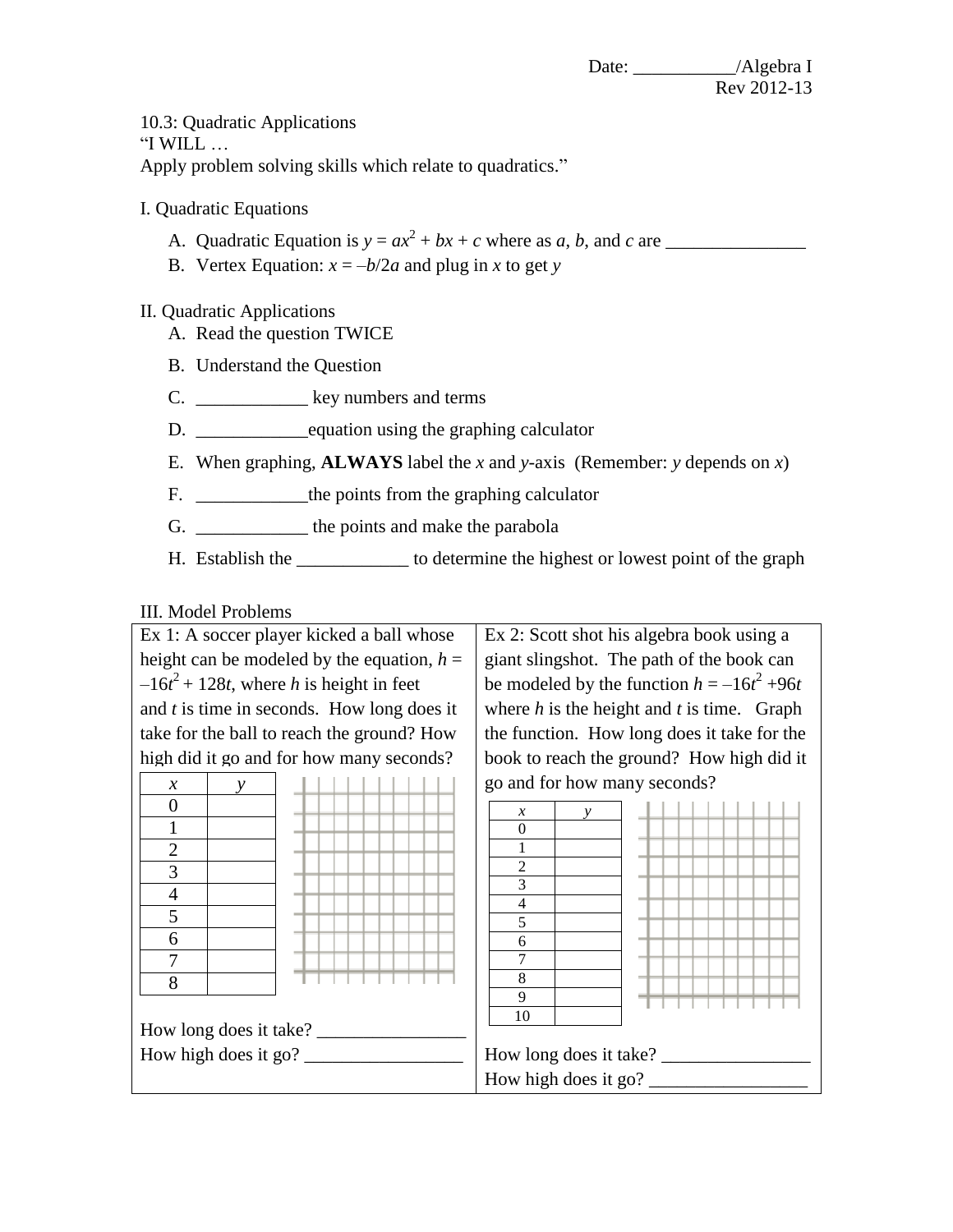Date: \_\_\_\_\_\_\_\_\_\_\_/Algebra I Rev 2012-13

10.3: Quadratic Applications "I WILL … Apply problem solving skills which relate to quadratics."

I. Quadratic Equations

- A. Quadratic Equation is *y* = *ax* 2 + *bx* + *c* where as *a*, *b*, and *c* are \_\_\_\_\_\_\_\_\_\_\_\_\_\_\_
- B. Vertex Equation:  $x = -b/2a$  and plug in *x* to get *y*

## II. Quadratic Applications

- A. Read the question TWICE
- B. Understand the Question
- C. \_\_\_\_\_\_\_\_\_\_\_\_\_\_ key numbers and terms
- D. \_\_\_\_\_\_\_\_\_\_\_\_equation using the graphing calculator
- E. When graphing, **ALWAYS** label the *x* and *y*-axis (Remember: *y* depends on *x*)
- F. \_\_\_\_\_\_\_\_\_\_\_\_\_\_\_the points from the graphing calculator
- G. \_\_\_\_\_\_\_\_\_\_\_\_\_\_\_\_ the points and make the parabola
- H. Establish the \_\_\_\_\_\_\_\_\_\_\_\_ to determine the highest or lowest point of the graph

## III. Model Problems

| Ex 1: A soccer player kicked a ball whose    | Ex 2: Scott shot his algebra book using a      |
|----------------------------------------------|------------------------------------------------|
| height can be modeled by the equation, $h =$ | giant slingshot. The path of the book can      |
| $-16t^2$ + 128t, where h is height in feet   | be modeled by the function $h = -16t^2 + 96t$  |
| and $t$ is time in seconds. How long does it | where $h$ is the height and $t$ is time. Graph |
| take for the ball to reach the ground? How   | the function. How long does it take for the    |
| high did it go and for how many seconds?     | book to reach the ground? How high did it      |
| $\mathcal{X}$<br>ν                           | go and for how many seconds?                   |
| $\overline{0}$                               | $\mathcal{X}$<br>v                             |
| 1                                            | $\boldsymbol{0}$                               |
| $\overline{2}$                               |                                                |
| 3                                            | $\overline{c}$<br>3                            |
| $\overline{4}$                               | 4                                              |
| 5                                            | 5                                              |
| 6                                            | 6<br>7                                         |
| $\overline{7}$<br>8                          | 8                                              |
|                                              | 9                                              |
| How long does it take?                       | 10                                             |
| How high does it go? $\frac{1}{\sqrt{2}}$    | How long does it take?                         |
|                                              |                                                |
|                                              | How high does it go? $\overline{\phantom{a}}$  |